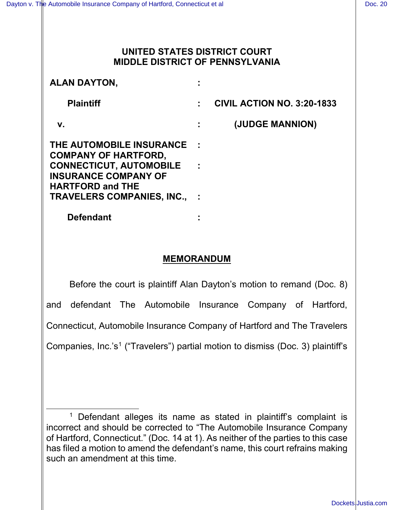### **UNITED STATES DISTRICT COURT MIDDLE DISTRICT OF PENNSYLVANIA**

| <b>ALAN DAYTON.</b>                                                                                                                                                                      |                                   |
|------------------------------------------------------------------------------------------------------------------------------------------------------------------------------------------|-----------------------------------|
| <b>Plaintiff</b>                                                                                                                                                                         | <b>CIVIL ACTION NO. 3:20-1833</b> |
| V.                                                                                                                                                                                       | (JUDGE MANNION)                   |
| THE AUTOMOBILE INSURANCE<br><b>COMPANY OF HARTFORD,</b><br><b>CONNECTICUT, AUTOMOBILE</b><br><b>INSURANCE COMPANY OF</b><br><b>HARTFORD and THE</b><br><b>TRAVELERS COMPANIES, INC.,</b> |                                   |
| <b>Defendant</b>                                                                                                                                                                         |                                   |

### **MEMORANDUM**

Before the court is plaintiff Alan Dayton's motion to remand (Doc. 8) and defendant The Automobile Insurance Company of Hartford, Connecticut, Automobile Insurance Company of Hartford and The Travelers Companies, Inc.'s<sup>[1](#page-0-0)</sup> ("Travelers") partial motion to dismiss (Doc. 3) plaintiff's

<span id="page-0-0"></span> $1$  Defendant alleges its name as stated in plaintiff's complaint is incorrect and should be corrected to "The Automobile Insurance Company of Hartford, Connecticut." (Doc. 14 at 1). As neither of the parties to this case has filed a motion to amend the defendant's name, this court refrains making such an amendment at this time.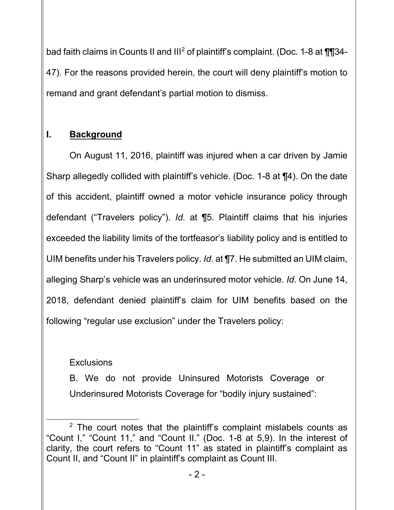bad faith claims in Counts II and  $III^2$  $III^2$  of plaintiff's complaint. (Doc. 1-8 at  $\P$ ] 34-47). For the reasons provided herein, the court will deny plaintiff's motion to remand and grant defendant's partial motion to dismiss.

# **I. Background**

On August 11, 2016, plaintiff was injured when a car driven by Jamie Sharp allegedly collided with plaintiff's vehicle. (Doc. 1-8 at ¶4). On the date of this accident, plaintiff owned a motor vehicle insurance policy through defendant ("Travelers policy"). *Id*. at ¶5. Plaintiff claims that his injuries exceeded the liability limits of the tortfeasor's liability policy and is entitled to UIM benefits under his Travelers policy. *Id*. at ¶7. He submitted an UIM claim, alleging Sharp's vehicle was an underinsured motor vehicle. *Id*. On June 14, 2018, defendant denied plaintiff's claim for UIM benefits based on the following "regular use exclusion" under the Travelers policy:

## **Exclusions**

B. We do not provide Uninsured Motorists Coverage or Underinsured Motorists Coverage for "bodily injury sustained":

<span id="page-1-0"></span> $2$  The court notes that the plaintiff's complaint mislabels counts as "Count I," "Count 11," and "Count II." (Doc. 1-8 at 5,9). In the interest of clarity, the court refers to "Count 11" as stated in plaintiff's complaint as Count II, and "Count II" in plaintiff's complaint as Count III.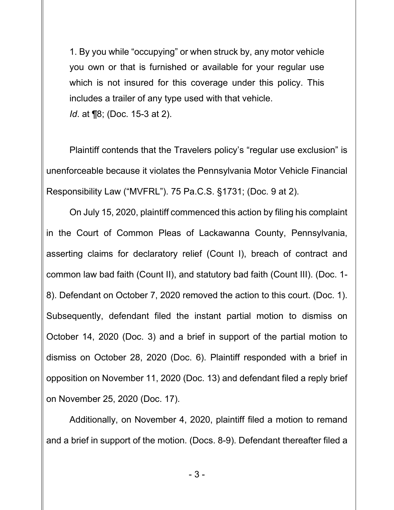1. By you while "occupying" or when struck by, any motor vehicle you own or that is furnished or available for your regular use which is not insured for this coverage under this policy. This includes a trailer of any type used with that vehicle. *Id*. at ¶8; (Doc. 15-3 at 2).

Plaintiff contends that the Travelers policy's "regular use exclusion" is unenforceable because it violates the Pennsylvania Motor Vehicle Financial Responsibility Law ("MVFRL"). 75 Pa.C.S. §1731; (Doc. 9 at 2).

On July 15, 2020, plaintiff commenced this action by filing his complaint in the Court of Common Pleas of Lackawanna County, Pennsylvania, asserting claims for declaratory relief (Count I), breach of contract and common law bad faith (Count II), and statutory bad faith (Count III). (Doc. 1- 8). Defendant on October 7, 2020 removed the action to this court. (Doc. 1). Subsequently, defendant filed the instant partial motion to dismiss on October 14, 2020 (Doc. 3) and a brief in support of the partial motion to dismiss on October 28, 2020 (Doc. 6). Plaintiff responded with a brief in opposition on November 11, 2020 (Doc. 13) and defendant filed a reply brief on November 25, 2020 (Doc. 17).

Additionally, on November 4, 2020, plaintiff filed a motion to remand and a brief in support of the motion. (Docs. 8-9). Defendant thereafter filed a

- 3 -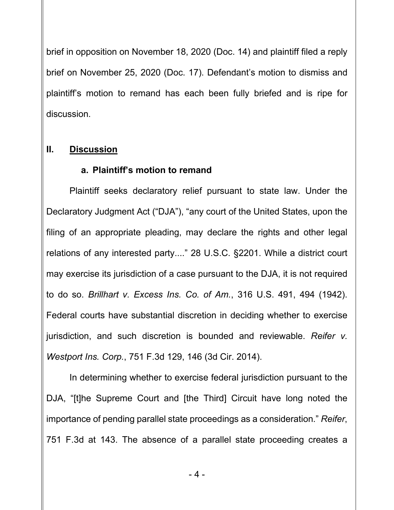brief in opposition on November 18, 2020 (Doc. 14) and plaintiff filed a reply brief on November 25, 2020 (Doc. 17). Defendant's motion to dismiss and plaintiff's motion to remand has each been fully briefed and is ripe for discussion.

## **II. Discussion**

### **a. Plaintiff's motion to remand**

Plaintiff seeks declaratory relief pursuant to state law. Under the Declaratory Judgment Act ("DJA"), "any court of the United States, upon the filing of an appropriate pleading, may declare the rights and other legal relations of any interested party...." 28 U.S.C. §2201. While a district court may exercise its jurisdiction of a case pursuant to the DJA, it is not required to do so. *Brillhart v. Excess Ins. Co. of Am.*, 316 U.S. 491, 494 (1942). Federal courts have substantial discretion in deciding whether to exercise jurisdiction, and such discretion is bounded and reviewable. *Reifer v. Westport Ins. Corp.*, 751 F.3d 129, 146 (3d Cir. 2014).

In determining whether to exercise federal jurisdiction pursuant to the DJA, "[t]he Supreme Court and [the Third] Circuit have long noted the importance of pending parallel state proceedings as a consideration." *Reifer*, 751 F.3d at 143. The absence of a parallel state proceeding creates a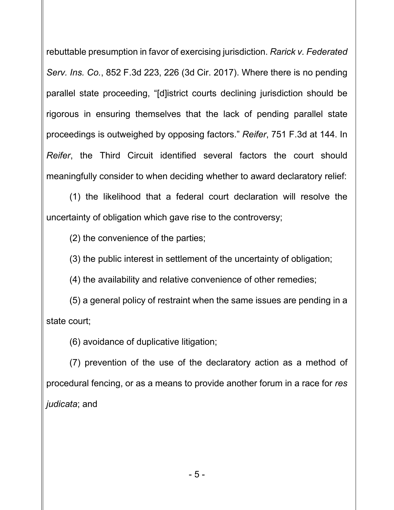rebuttable presumption in favor of exercising jurisdiction. *Rarick v. Federated Serv. Ins. Co.*, 852 F.3d 223, 226 (3d Cir. 2017). Where there is no pending parallel state proceeding, "[d]istrict courts declining jurisdiction should be rigorous in ensuring themselves that the lack of pending parallel state proceedings is outweighed by opposing factors." *Reifer*, 751 F.3d at 144. In *Reifer*, the Third Circuit identified several factors the court should meaningfully consider to when deciding whether to award declaratory relief:

(1) the likelihood that a federal court declaration will resolve the uncertainty of obligation which gave rise to the controversy;

(2) the convenience of the parties;

(3) the public interest in settlement of the uncertainty of obligation;

(4) the availability and relative convenience of other remedies;

(5) a general policy of restraint when the same issues are pending in a state court;

(6) avoidance of duplicative litigation;

(7) prevention of the use of the declaratory action as a method of procedural fencing, or as a means to provide another forum in a race for *res judicata*; and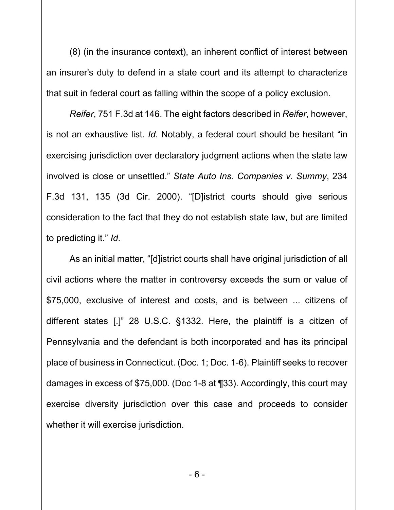(8) (in the insurance context), an inherent conflict of interest between an insurer's duty to defend in a state court and its attempt to characterize that suit in federal court as falling within the scope of a policy exclusion.

*Reifer*, 751 F.3d at 146. The eight factors described in *Reifer*, however, is not an exhaustive list. *Id*. Notably, a federal court should be hesitant "in exercising jurisdiction over declaratory judgment actions when the state law involved is close or unsettled." *State Auto Ins. Companies v. Summy*, 234 F.3d 131, 135 (3d Cir. 2000). "[D]istrict courts should give serious consideration to the fact that they do not establish state law, but are limited to predicting it." *Id*.

As an initial matter, "[d]istrict courts shall have original jurisdiction of all civil actions where the matter in controversy exceeds the sum or value of \$75,000, exclusive of interest and costs, and is between ... citizens of different states [.]" 28 U.S.C. §1332. Here, the plaintiff is a citizen of Pennsylvania and the defendant is both incorporated and has its principal place of business in Connecticut. (Doc. 1; Doc. 1-6). Plaintiff seeks to recover damages in excess of \$75,000. (Doc 1-8 at ¶33). Accordingly, this court may exercise diversity jurisdiction over this case and proceeds to consider whether it will exercise jurisdiction.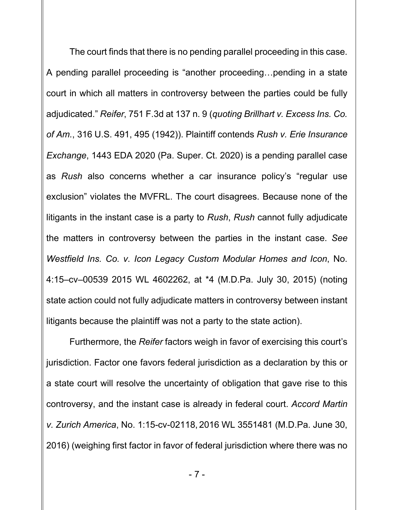The court finds that there is no pending parallel proceeding in this case. A pending parallel proceeding is "another proceeding…pending in a state court in which all matters in controversy between the parties could be fully adjudicated." *Reifer*, 751 F.3d at 137 n. 9 (*quoting Brillhart v. Excess Ins. Co. of Am.*, 316 U.S. 491, 495 (1942)). Plaintiff contends *Rush v. Erie Insurance Exchange*, 1443 EDA 2020 (Pa. Super. Ct. 2020) is a pending parallel case as *Rush* also concerns whether a car insurance policy's "regular use exclusion" violates the MVFRL. The court disagrees. Because none of the litigants in the instant case is a party to *Rush*, *Rush* cannot fully adjudicate the matters in controversy between the parties in the instant case. *See Westfield Ins. Co. v. Icon Legacy Custom Modular Homes and Icon*, No. 4:15–cv–00539 2015 WL 4602262, at \*4 (M.D.Pa. July 30, 2015) (noting state action could not fully adjudicate matters in controversy between instant litigants because the plaintiff was not a party to the state action).

Furthermore, the *Reifer* factors weigh in favor of exercising this court's jurisdiction. Factor one favors federal jurisdiction as a declaration by this or a state court will resolve the uncertainty of obligation that gave rise to this controversy, and the instant case is already in federal court. *Accord Martin v. Zurich America*, No. 1:15-cv-02118, 2016 WL 3551481 (M.D.Pa. June 30, 2016) (weighing first factor in favor of federal jurisdiction where there was no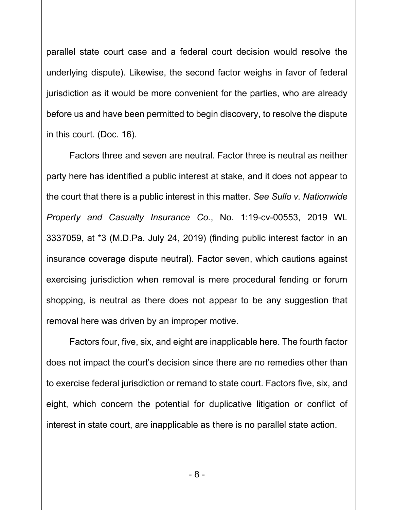parallel state court case and a federal court decision would resolve the underlying dispute). Likewise, the second factor weighs in favor of federal jurisdiction as it would be more convenient for the parties, who are already before us and have been permitted to begin discovery, to resolve the dispute in this court. (Doc. 16).

Factors three and seven are neutral. Factor three is neutral as neither party here has identified a public interest at stake, and it does not appear to the court that there is a public interest in this matter. *See Sullo v. Nationwide Property and Casualty Insurance Co.*, No. 1:19-cv-00553, 2019 WL 3337059, at \*3 (M.D.Pa. July 24, 2019) (finding public interest factor in an insurance coverage dispute neutral). Factor seven, which cautions against exercising jurisdiction when removal is mere procedural fending or forum shopping, is neutral as there does not appear to be any suggestion that removal here was driven by an improper motive.

Factors four, five, six, and eight are inapplicable here. The fourth factor does not impact the court's decision since there are no remedies other than to exercise federal jurisdiction or remand to state court. Factors five, six, and eight, which concern the potential for duplicative litigation or conflict of interest in state court, are inapplicable as there is no parallel state action.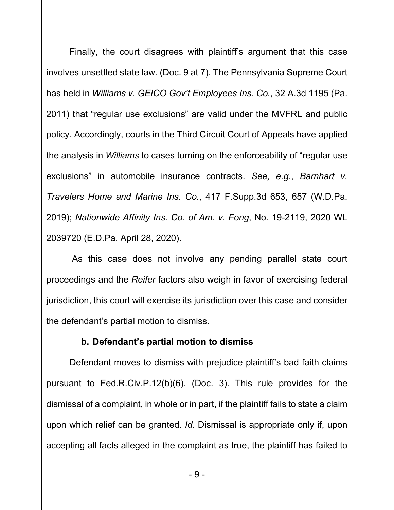Finally, the court disagrees with plaintiff's argument that this case involves unsettled state law. (Doc. 9 at 7). The Pennsylvania Supreme Court has held in *Williams v. GEICO Gov't Employees Ins. Co.*, 32 A.3d 1195 (Pa. 2011) that "regular use exclusions" are valid under the MVFRL and public policy. Accordingly, courts in the Third Circuit Court of Appeals have applied the analysis in *Williams* to cases turning on the enforceability of "regular use exclusions" in automobile insurance contracts. *See, e.g.*, *Barnhart v. Travelers Home and Marine Ins. Co.*, 417 F.Supp.3d 653, 657 (W.D.Pa. 2019); *Nationwide Affinity Ins. Co. of Am. v. Fong*, No. 19-2119, 2020 WL 2039720 (E.D.Pa. April 28, 2020).

 As this case does not involve any pending parallel state court proceedings and the *Reifer* factors also weigh in favor of exercising federal jurisdiction, this court will exercise its jurisdiction over this case and consider the defendant's partial motion to dismiss.

### **b. Defendant's partial motion to dismiss**

Defendant moves to dismiss with prejudice plaintiff's bad faith claims pursuant to Fed.R.Civ.P.12(b)(6). (Doc. 3). This rule provides for the dismissal of a complaint, in whole or in part, if the plaintiff fails to state a claim upon which relief can be granted. *Id*. Dismissal is appropriate only if, upon accepting all facts alleged in the complaint as true, the plaintiff has failed to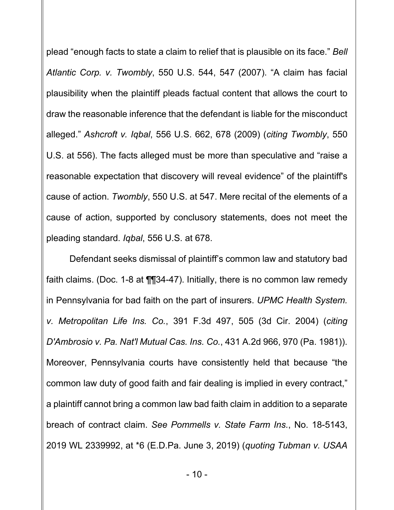plead "enough facts to state a claim to relief that is plausible on its face." *Bell Atlantic Corp. v. Twombly*, 550 U.S. 544, 547 (2007). "A claim has facial plausibility when the plaintiff pleads factual content that allows the court to draw the reasonable inference that the defendant is liable for the misconduct alleged." *Ashcroft v. Iqbal*, 556 U.S. 662, 678 (2009) (*citing Twombly*, 550 U.S. at 556). The facts alleged must be more than speculative and "raise a reasonable expectation that discovery will reveal evidence" of the plaintiff's cause of action. *Twombly*, 550 U.S. at 547. Mere recital of the elements of a cause of action, supported by conclusory statements, does not meet the pleading standard. *Iqbal*, 556 U.S. at 678.

Defendant seeks dismissal of plaintiff's common law and statutory bad faith claims. (Doc. 1-8 at ¶¶34-47). Initially, there is no common law remedy in Pennsylvania for bad faith on the part of insurers. *UPMC Health System. v. Metropolitan Life Ins. Co.*, 391 F.3d 497, 505 (3d Cir. 2004) (*citing D'Ambrosio v. Pa. Nat'l Mutual Cas. Ins. Co.*, 431 A.2d 966, 970 (Pa. 1981)). Moreover, Pennsylvania courts have consistently held that because "the common law duty of good faith and fair dealing is implied in every contract," a plaintiff cannot bring a common law bad faith claim in addition to a separate breach of contract claim. *See Pommells v. State Farm Ins.*, No. 18-5143, 2019 WL 2339992, at \*6 (E.D.Pa. June 3, 2019) (*quoting Tubman v. USAA*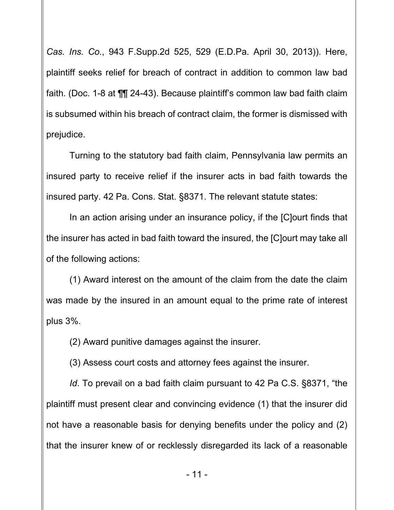*Cas. Ins. Co.*, 943 F.Supp.2d 525, 529 (E.D.Pa. April 30, 2013)). Here, plaintiff seeks relief for breach of contract in addition to common law bad faith. (Doc. 1-8 at ¶¶ 24-43). Because plaintiff's common law bad faith claim is subsumed within his breach of contract claim, the former is dismissed with prejudice.

Turning to the statutory bad faith claim, Pennsylvania law permits an insured party to receive relief if the insurer acts in bad faith towards the insured party. 42 Pa. Cons. Stat. §8371. The relevant statute states:

In an action arising under an insurance policy, if the [C]ourt finds that the insurer has acted in bad faith toward the insured, the [C]ourt may take all of the following actions:

(1) Award interest on the amount of the claim from the date the claim was made by the insured in an amount equal to the prime rate of interest plus 3%.

(2) Award punitive damages against the insurer.

(3) Assess court costs and attorney fees against the insurer.

*Id*. To prevail on a bad faith claim pursuant to 42 Pa C.S. §8371, "the plaintiff must present clear and convincing evidence (1) that the insurer did not have a reasonable basis for denying benefits under the policy and (2) that the insurer knew of or recklessly disregarded its lack of a reasonable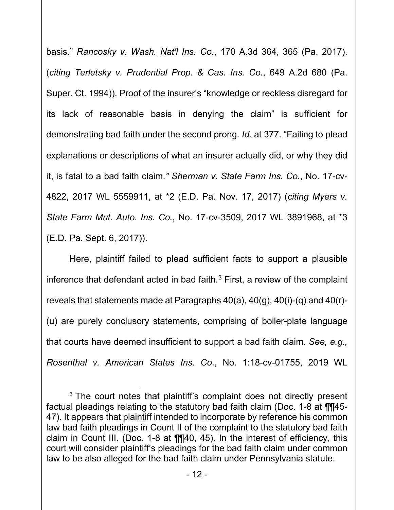basis." *Rancosky v. Wash. Nat'l Ins. Co.*, 170 A.3d 364, 365 (Pa. 2017). (*citing Terletsky v. Prudential Prop. & Cas. Ins. Co.*, 649 A.2d 680 (Pa. Super. Ct. 1994)). Proof of the insurer's "knowledge or reckless disregard for its lack of reasonable basis in denying the claim" is sufficient for demonstrating bad faith under the second prong. *Id*. at 377. "Failing to plead explanations or descriptions of what an insurer actually did, or why they did it, is fatal to a bad faith claim*." Sherman v. State Farm Ins. Co.*, No. 17-cv-4822, 2017 WL 5559911, at \*2 (E.D. Pa. Nov. 17, 2017) (*citing Myers v. State Farm Mut. Auto. Ins. Co.*, No. 17-cv-3509, 2017 WL 3891968, at \*3 (E.D. Pa. Sept. 6, 2017)).

Here, plaintiff failed to plead sufficient facts to support a plausible inference that defendant acted in bad faith. $3$  First, a review of the complaint reveals that statements made at Paragraphs 40(a), 40(g), 40(i)-(q) and 40(r)- (u) are purely conclusory statements, comprising of boiler-plate language that courts have deemed insufficient to support a bad faith claim. *See, e.g., Rosenthal v. American States Ins. Co.*, No. 1:18-cv-01755, 2019 WL

<span id="page-11-0"></span><sup>&</sup>lt;sup>3</sup> The court notes that plaintiff's complaint does not directly present factual pleadings relating to the statutory bad faith claim (Doc. 1-8 at ¶¶45- 47). It appears that plaintiff intended to incorporate by reference his common law bad faith pleadings in Count II of the complaint to the statutory bad faith claim in Count III. (Doc. 1-8 at ¶¶40, 45). In the interest of efficiency, this court will consider plaintiff's pleadings for the bad faith claim under common law to be also alleged for the bad faith claim under Pennsylvania statute.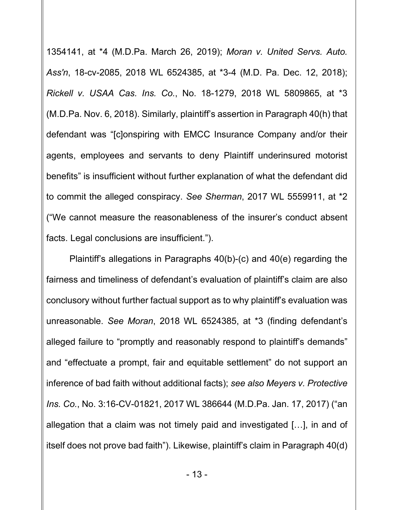1354141, at \*4 (M.D.Pa. March 26, 2019); *Moran v. United Servs. Auto. Ass'n*, 18-cv-2085, 2018 WL 6524385, at \*3-4 (M.D. Pa. Dec. 12, 2018); *Rickell v. USAA Cas. Ins. Co.*, No. 18-1279, 2018 WL 5809865, at \*3 (M.D.Pa. Nov. 6, 2018). Similarly, plaintiff's assertion in Paragraph 40(h) that defendant was "[c]onspiring with EMCC Insurance Company and/or their agents, employees and servants to deny Plaintiff underinsured motorist benefits" is insufficient without further explanation of what the defendant did to commit the alleged conspiracy. *See Sherman*, 2017 WL 5559911, at \*2 ("We cannot measure the reasonableness of the insurer's conduct absent facts. Legal conclusions are insufficient.").

Plaintiff's allegations in Paragraphs 40(b)-(c) and 40(e) regarding the fairness and timeliness of defendant's evaluation of plaintiff's claim are also conclusory without further factual support as to why plaintiff's evaluation was unreasonable. *See Moran*, 2018 WL 6524385, at \*3 (finding defendant's alleged failure to "promptly and reasonably respond to plaintiff's demands" and "effectuate a prompt, fair and equitable settlement" do not support an inference of bad faith without additional facts); *see also Meyers v. Protective Ins. Co.*, No. 3:16-CV-01821, 2017 WL 386644 (M.D.Pa. Jan. 17, 2017) ("an allegation that a claim was not timely paid and investigated […], in and of itself does not prove bad faith"). Likewise, plaintiff's claim in Paragraph 40(d)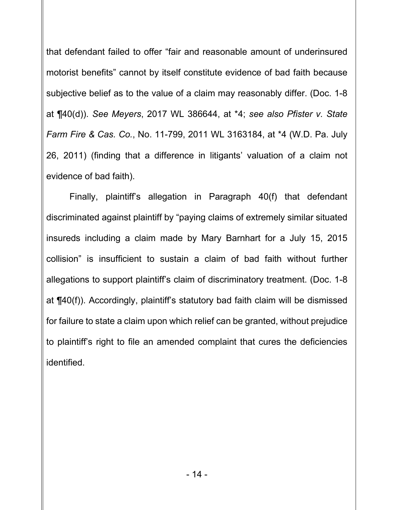that defendant failed to offer "fair and reasonable amount of underinsured motorist benefits" cannot by itself constitute evidence of bad faith because subjective belief as to the value of a claim may reasonably differ. (Doc. 1-8 at ¶40(d)). *See Meyers*, 2017 WL 386644, at \*4; *see also Pfister v. State Farm Fire & Cas. Co.*, No. 11-799, 2011 WL 3163184, at \*4 (W.D. Pa. July 26, 2011) (finding that a difference in litigants' valuation of a claim not evidence of bad faith).

Finally, plaintiff's allegation in Paragraph 40(f) that defendant discriminated against plaintiff by "paying claims of extremely similar situated insureds including a claim made by Mary Barnhart for a July 15, 2015 collision" is insufficient to sustain a claim of bad faith without further allegations to support plaintiff's claim of discriminatory treatment. (Doc. 1-8 at ¶40(f)). Accordingly, plaintiff's statutory bad faith claim will be dismissed for failure to state a claim upon which relief can be granted, without prejudice to plaintiff's right to file an amended complaint that cures the deficiencies identified.